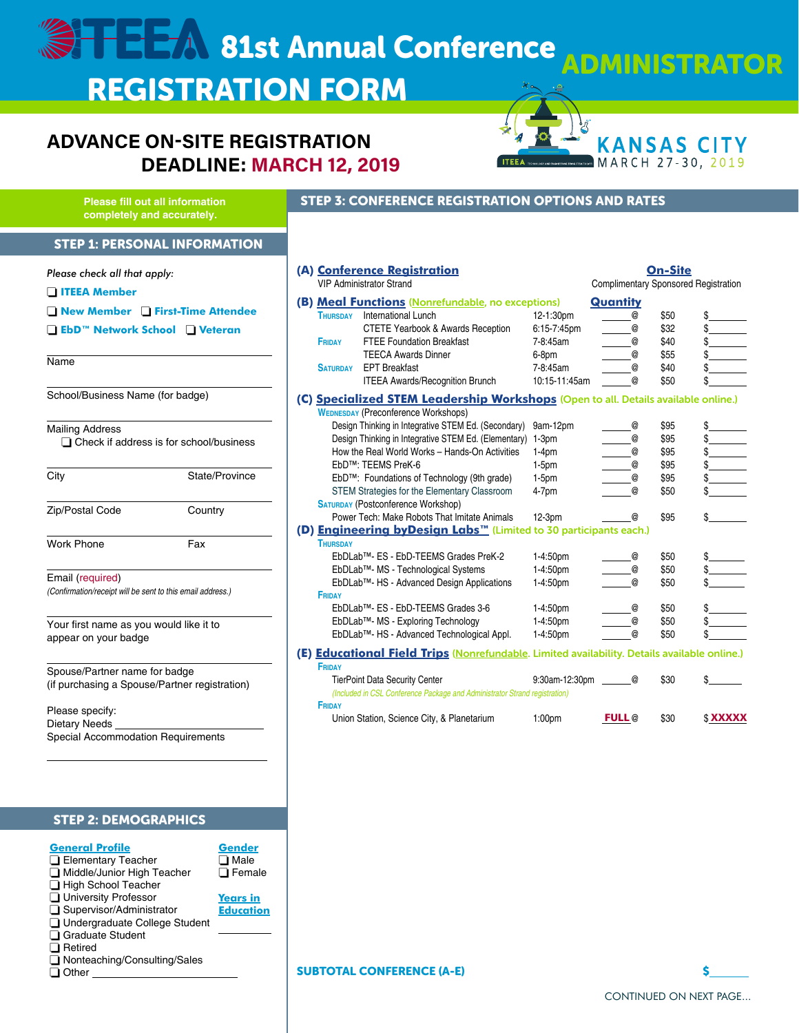# REGISTRATION FORM **81st Annual Conference ADMINISTRATOR**

# **ADVANCE ON-SITE REGISTRATION DEADLINE: MARCH 12, 2019**



**Please fill out all information completely and accurately.**

## STEP 1: PERSONAL INFORMATION

| Please check all that apply:                                                   |                                                | <u>(A) Conference Registration</u><br><b>VIP Administrator Strand</b> |                                                                                                                                                                                           |                                  | Complimenta                                                         |
|--------------------------------------------------------------------------------|------------------------------------------------|-----------------------------------------------------------------------|-------------------------------------------------------------------------------------------------------------------------------------------------------------------------------------------|----------------------------------|---------------------------------------------------------------------|
| <b>TITEEA</b> Member                                                           |                                                |                                                                       |                                                                                                                                                                                           |                                  |                                                                     |
|                                                                                | New Member <b>First-Time Attendee</b>          | <b>THURSDAY</b>                                                       | <b>(B) Meal Functions</b> (Nonrefundable, no exceptions)<br>International Lunch                                                                                                           | 12-1:30pm                        | <b>Quantity</b><br>@                                                |
| <b>O</b> EbD <sup>™</sup> Network School © Veteran                             |                                                | <b>FRIDAY</b>                                                         | <b>CTETE Yearbook &amp; Awards Reception</b><br><b>FTEE Foundation Breakfast</b><br><b>TEECA Awards Dinner</b>                                                                            | 6:15-7:45pm<br>7-8:45am<br>6-8pm | $\circledcirc$<br>$^{\copyright}$<br>$^{\circledR}$                 |
| Name                                                                           |                                                | <b>SATURDAY</b>                                                       | <b>EPT Breakfast</b><br><b>ITEEA Awards/Recognition Brunch</b>                                                                                                                            | 7-8:45am<br>10:15-11:45am        | @<br>$^{\circ}$                                                     |
| School/Business Name (for badge)                                               |                                                |                                                                       | (C) <u>Specialized STEM Leadership Workshops</u> (Open to all. Deta<br><b>WEDNESDAY (Preconference Workshops)</b>                                                                         |                                  |                                                                     |
| <b>Mailing Address</b>                                                         | $\Box$ Check if address is for school/business |                                                                       | Design Thinking in Integrative STEM Ed. (Secondary)<br>Design Thinking in Integrative STEM Ed. (Elementary) 1-3pm<br>How the Real World Works - Hands-On Activities<br>EbD™: TEEMS PreK-6 | 9am-12pm<br>$1-4pm$              | $\circledcirc$<br>$\rule{1em}{0.15mm}$                              |
| City                                                                           | State/Province                                 |                                                                       | EbD™: Foundations of Technology (9th grade)<br>STEM Strategies for the Elementary Classroom                                                                                               | $1-5$ pm<br>$1-5$ pm<br>4-7pm    | $\qquad \qquad \emptyset$<br>$\_\_$<br>$^{\copyright}$              |
| Zip/Postal Code                                                                | Country                                        |                                                                       | <b>SATURDAY (Postconference Workshop)</b><br>Power Tech: Make Robots That Imitate Animals<br>(D) <b>Engineering by Design Labs<sup>™</sup> (Limited to 30 participants each</b>           | $12-3$ pm                        | @                                                                   |
| <b>Work Phone</b>                                                              | Fax                                            | <b>THURSDAY</b>                                                       | EbDLab <sup>™</sup> - ES - EbD-TEEMS Grades PreK-2                                                                                                                                        | 1-4:50pm                         |                                                                     |
| Email (required)<br>(Confirmation/receipt will be sent to this email address.) |                                                | <b>FRIDAY</b>                                                         | EbDLab™- MS - Technological Systems<br>EbDLab™- HS - Advanced Design Applications                                                                                                         | 1-4:50pm<br>1-4:50pm             | $\overline{\phantom{a}}$ $\overline{\phantom{a}}$<br>$^{\circledR}$ |
| Your first name as you would like it to<br>appear on your badge                |                                                |                                                                       | EbDLab™- ES - EbD-TEEMS Grades 3-6<br>EbDLab™- MS - Exploring Technology<br>EbDLab™- HS - Advanced Technological Appl.                                                                    | 1-4:50pm<br>1-4:50pm<br>1-4:50pm | $\_\_$<br>@                                                         |
|                                                                                |                                                | Eninav                                                                | <b>(E) <u>Educational Field Trips</u> (Nonrefundable</b> . Limited availability. De                                                                                                       |                                  |                                                                     |

Spouse/Partner name for badge (if purchasing a Spouse/Partner registration)

Please specify: Dietary Needs Special Accommodation Requirements

## STEP 2: DEMOGRAPHICS

 $\overline{a}$ 

| Gender           |
|------------------|
| $\square$ Male   |
| $\square$ Female |
|                  |
| <b>Years in</b>  |
| <b>Education</b> |
|                  |
|                  |
|                  |
|                  |

□ Nonteaching/Consulting/Sales

 $\Box$  Other  $\Box$ 

## **(E) Educational Field Trips** (Nonrefundable. Limited availability. Details available online.)

| 9:30am-12:30pm                                                             | Q)    | \$30 |         |
|----------------------------------------------------------------------------|-------|------|---------|
| (Included in CSL Conference Package and Administrator Strand registration) |       |      |         |
|                                                                            |       |      |         |
| 1:00 <sub>pm</sub>                                                         | FULL@ | \$30 | \$XXXXX |
|                                                                            |       |      |         |



|                                                                            |                 | <b>CTETE Yearbook &amp; Awards Reception</b>                                                                | 6:15-7:45pm    | @         | \$32 | \$           |
|----------------------------------------------------------------------------|-----------------|-------------------------------------------------------------------------------------------------------------|----------------|-----------|------|--------------|
|                                                                            | <b>FRIDAY</b>   | <b>FTEE Foundation Breakfast</b>                                                                            | 7-8:45am       | @         | \$40 |              |
|                                                                            |                 | <b>TEECA Awards Dinner</b>                                                                                  | 6-8pm          | @         | \$55 |              |
|                                                                            | <b>SATURDAY</b> | <b>EPT Breakfast</b>                                                                                        | 7-8:45am       | @         | \$40 | $\mathbf{s}$ |
|                                                                            |                 | <b>ITEEA Awards/Recognition Brunch</b>                                                                      | 10:15-11:45am  | @         | \$50 |              |
|                                                                            |                 | (C) <u>Specialized STEM Leadership Workshops</u> (Open to all. Details available online.)                   |                |           |      |              |
|                                                                            |                 | <b>WEDNESDAY (Preconference Workshops)</b>                                                                  |                |           |      |              |
|                                                                            |                 | Design Thinking in Integrative STEM Ed. (Secondary)                                                         | 9am-12pm       | @         | \$95 |              |
|                                                                            |                 | Design Thinking in Integrative STEM Ed. (Elementary)                                                        | $1-3pm$        | @         | \$95 | s            |
|                                                                            |                 | How the Real World Works - Hands-On Activities                                                              | $1-4pm$        | @         | \$95 | s            |
|                                                                            |                 | EbD™: TEEMS PreK-6                                                                                          | $1-5pm$        | @         | \$95 |              |
|                                                                            |                 | EbD™: Foundations of Technology (9th grade)                                                                 | $1-5$ pm       | @         | \$95 |              |
|                                                                            |                 | STEM Strategies for the Elementary Classroom                                                                | $4-7pm$        | @         | \$50 |              |
|                                                                            |                 | <b>SATURDAY (Postconference Workshop)</b>                                                                   |                |           |      |              |
|                                                                            |                 | Power Tech: Make Robots That Imitate Animals                                                                | 12-3pm         | @         | \$95 | \$           |
|                                                                            |                 | (D) <b>Engineering byDesign Labs</b> <sup>™</sup> (Limited to 30 participants each.)                        |                |           |      |              |
|                                                                            | <b>THURSDAY</b> |                                                                                                             |                |           |      |              |
|                                                                            |                 | EbDLab™- ES - EbD-TEEMS Grades PreK-2                                                                       | 1-4:50pm       | @         | \$50 | s            |
|                                                                            |                 | EbDLab™- MS - Technological Systems                                                                         | 1-4:50pm       | @         | \$50 |              |
|                                                                            |                 | EbDLab™- HS - Advanced Design Applications                                                                  | 1-4:50pm       | @         | \$50 |              |
|                                                                            | <b>FRIDAY</b>   |                                                                                                             |                |           |      |              |
|                                                                            |                 | EbDLab™- ES - EbD-TEEMS Grades 3-6                                                                          | 1-4:50pm       | @         | \$50 | \$           |
|                                                                            |                 | EbDLab™- MS - Exploring Technology                                                                          | 1-4:50pm       | @         | \$50 |              |
|                                                                            |                 | EbDLab <sup>™</sup> - HS - Advanced Technological Appl.                                                     | 1-4:50pm       | @         | \$50 |              |
|                                                                            |                 | <b>(E) <u>Educational Field Trips</u> (Nonrefundable</b> . Limited availability. Details available online.) |                |           |      |              |
|                                                                            | <b>FRIDAY</b>   |                                                                                                             |                |           |      |              |
|                                                                            |                 | <b>TierPoint Data Security Center</b>                                                                       | 9:30am-12:30pm | $\circ$ 0 | \$30 | S            |
| (Included in CSL Conference Package and Administrator Strand registration) |                 |                                                                                                             |                |           |      |              |

THURSDAY International Lunch 12-1:30pm **@** \$50 \$